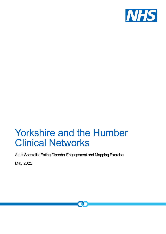

## Yorkshire and the Humber Clinical Networks

Adult Specialist Eating Disorder Engagement and Mapping Exercise

May 2021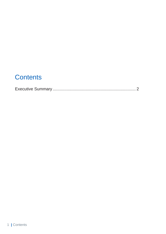### **Contents**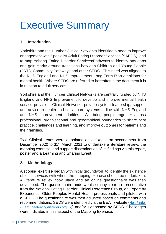# <span id="page-2-0"></span>Executive Summary

#### **1. Introduction**

Yorkshire and the Humber Clinical Networks identified a need to improve engagement with Specialist Adult Eating Disorder Services (SAEDS), and to map existing Eating Disorder Services/Pathways to identify any gaps and gain clarity around transitions between Children and Young People (CYP), Community Pathways and other SEDS. This need was aligned to the NHS England and NHS Improvement Long Term Plan ambitions for mental health. Where SEDS are referred to hereafter in the document it is in relation to adult services.

Yorkshire and the Humber Clinical Networks are centrally funded by NHS England and NHS Improvement to develop and improve mental health service provision. Clinical Networks provide system leadership, support and advice to health and social care systems in line with NHS England and NHS Improvement priorities. We bring people together across professional, organisational and geographical boundaries to share best practice, challenges and learning, and improve outcomes for patients and their families.

Two Clinical Leads were appointed on a fixed term secondment from December 2020 to 31<sup>st</sup> March 2021 to undertake a literature review, the mapping exercise, and support dissemination of its findings via this report, poster and a Learning and Sharing Event.

#### **2. Methodology**

A scoping exercise began with initial groundwork to identify the existence of local services with whom the mapping exercise should be undertaken. A literature review took place and an online questionnaire was then developed. The questionnaire underwent scrutiny from a representative from the National Eating Disorder Clinical Reference Group, an Expert by Experience, Older Peoples Mental Health professionals and piloted with a SEDS. The questionnaire was then adjusted based on comments and recommendations. SEDS were identified via the BEAT website ([HelpFinder](https://helpfinder.beateatingdisorders.org.uk/)  - [Beat \(beateatingdisorders.org.uk\)](https://helpfinder.beateatingdisorders.org.uk/)) and/or signposted by SEDS. Challenges were indicated in this aspect of the Mapping Exercise: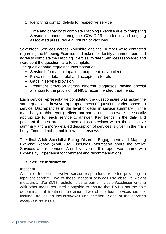- 1. Identifying contact details for respective service
- 2. Time and capacity to complete Mapping Exercise due to competing Service demands during the COVID-19 pandemic and ongoing associated pressures e.g. roll out of vaccines

Seventeen Services across Yorkshire and the Humber were contacted regarding the Mapping Exercise and asked to identify a named Lead and agree to complete the Mapping Exercise; thirteen Services responded and were sent the questionnaire to complete.

The questionnaire requested information on:

- Service Information; inpatient, outpatient, day patient
- Prevalence data of total and accepted referrals
- Gaps in service provision
- Treatment provision across different diagnoses, paying special attention to the provision of NICE recommended treatments.

Each service representative completing the questionnaire was asked the same questions, however appropriateness of questions varied based on service. Discrepancies in the level of detail in service summary (in the main body of this report) reflect that not all questions were necessarily appropriate for each service to answer. Key trends in the data and poignant themes are highlighted across services within the executive summary and a more detailed description of services is given in the main body. Time did not permit follow up interviews.

The final Adult Specialist Eating Disorder Engagement and Mapping Exercise Report (April 2021) includes information about the twelve Services who responded. A draft version of this report was shared with Experts by Experience for comment and recommendations.

#### **3. Service Information**

#### Inpatient

A total of four out of twelve service respondents reported providing an inpatient service. Two of these inpatient services use absolute weight measure and/or BMI threshold holds as part of inclusion/exclusion criteria with other measures used alongside to ensure that BMI is not the sole determinant of treatment provision. Two of the four services did not include BMI as an inclusion/exclusion criterion. None of the services accept self-referrals.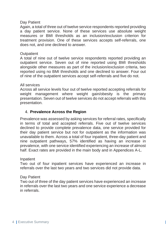#### Day Patient

Again, a total of three out of twelve service respondents reported providing a day patient service. None of these services use absolute weight measures or BMI thresholds as an inclusion/exclusion criterion for treatment provision. One of these services accepts self-referrals, one does not, and one declined to answer.

#### **Outpatient**

A total of nine out of twelve service respondents reported providing an outpatient service. Seven out of nine reported using BMI thresholds alongside other measures as part of the inclusion/exclusion criteria, two reported using no BMI thresholds and one declined to answer. Four out of nine of the outpatient services accept self-referrals and five do not.

#### All services

Across all service levels four out of twelve reported accepting referrals for weight management where weight gain/obesity is the primary presentation. Seven out of twelve services do not accept referrals with this presentation.

#### 4. **Prevalence Across the Region**

Prevalence was assessed by asking services for referral rates, specifically in terms of total and accepted referrals. Five out of twelve services declined to provide complete prevalence data, one service provided for their day patient service but not for outpatient as the information was unavailable to them. Across a total of four inpatient, three-day patient and nine outpatient pathways, 57% identified as having an increase in prevalence, with one service identified experiencing an increase of almost half. Exact rates are provided in the main body and in Appendices A-L.

#### Inpatient

Two out of four inpatient services have experienced an increase in referrals over the last two years and two services did not provide data.

#### Day Patient

Two out of three of the day patient services have experienced an increase in referrals over the last two years and one service experience a decrease in referrals.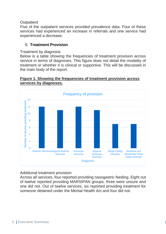#### **Outpatient**

Five of the outpatient services provided prevalence data. Four of these services had experienced an increase in referrals and one service had experienced a decrease.

#### 5. **Treatment Provision**

#### Treatment by diagnosis

Below is a table showing the frequencies of treatment provision across service in terms of diagnoses. This figure does not detail the modality of treatment or whether it is clinical or supportive. This will be discussed in the main body of the report.

#### **Figure 1. Showing the frequencies of treatment provision across services by diagnoses.**



#### Additional treatment provision

Across all services, four reported providing nasogastric feeding. Eight out of twelve reported providing MARSIPAN groups, three were unsure and one did not. Out of twelve services, six reported providing treatment for someone detained under the Mental Health Act and four did not.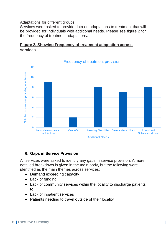Adaptations for different groups

Services were asked to provide data on adaptations to treatment that will be provided for individuals with additional needs. Please see figure 2 for the frequency of treatment adaptations.





#### **6. Gaps in Service Provision**

All services were asked to identify any gaps in service provision. A more detailed breakdown is given in the main body, but the following were identified as the main themes across services:

- Demand exceeding capacity
- Lack of funding
- Lack of community services within the locality to discharge patients to
- Lack of inpatient services
- Patients needing to travel outside of their locality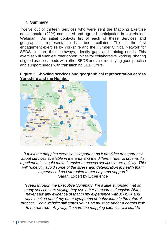#### **7. Summary**

Twelve out of thirteen Services who were sent the Mapping Exercise questionnaire (92%) completed and agreed participation in stakeholder Webinar. An initial contacts list of each of these Services and geographical representation has been collated. This is the first engagement exercise by Yorkshire and the Humber Clinical Network for SEDS to share their pathways, identify gaps and training needs. This exercise will enable further opportunities for collaborative working, sharing of good practice/needs with other SEDS and also identifying good practice and support needs with transitioning SED CYPs.

#### **Figure 3. Showing services and geographical representation across Yorkshire and the Humber**



"*I think the mapping exercise is important as it provides transparency about services available in the area and the different referral criteria. As a patient this should make it easier to access services more quickly. This will hopefully avoid some of the stress and deterioration in health that I experienced as I struggled to get help and support*." Sarah, Expert by Experience

*"I read through the Executive Summary. I'm a little surprised that so many services are saying they use other measures alongside BMI. I never saw any evidence of that in my experience with XXXXX and wasn't asked about my other symptoms or behaviours in the referral process. Their website still states your BMI must be under a certain limit to be referred. Anyway, I'm sure the mapping exercise will start to*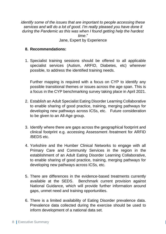*identify some of the issues that are important to people accessing these services and will do a lot of good. I'm really pleased you have done it during the Pandemic as this was when I found getting help the hardest time*." Jane, Expert by Experience

#### **8. Recommendations:**

1. Specialist training sessions should be offered to all applicable specialist services (Autism, ARFID, Diabetes, etc) wherever possible, to address the identified training needs.

Further mapping is required with a focus on CYP to identify any possible transitional themes or issues across the age span. This is a focus in the CYP benchmarking survey taking place in April 2021.

- 2. Establish an Adult Specialist Eating Disorder Learning Collaborative to enable sharing of good practice, training, merging pathways for developing new pathways across ICSs, etc. Future consideration to be given to an All-Age group.
- 3. Identify where there are gaps across the geographical footprint and clinical footprint e.g. accessing Assessment /treatment for ARFID /BEDS etc.
- 4. Yorkshire and the Humber Clinical Networks to engage with all Primary Care and Community Services in the region in the establishment of an Adult Eating Disorder Learning Collaborative, to enable sharing of good practice, training, merging pathways for developing new pathways across ICSs, etc.
- 5. There are differences in the evidence-based treatments currently available at the SEDS. Benchmark current provision against National Guidance, which will provide further information around gaps, unmet need and training opportunities.
- 6. There is a limited availability of Eating Disorder prevalence data. Prevalence data collected during the exercise should be used to inform development of a national data set.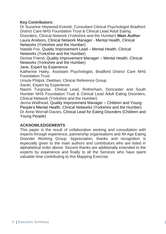#### **Key Contributors:**

Dr Suzanne Heywood-Everett, Consultant Clinical Psychologist Bradford District Care NHS Foundation Trust & Clinical Lead Adult Eating Disorders, Clinical Network (Yorkshire and the Humber) *Main Author* Laura Ansboro, Clinical Network Manager - Mental Health, Clinical Networks (Yorkshire and the Humber) Natalie Fox, Quality Improvement Lead – Mental Health, Clinical Networks (Yorkshire and the Humber) Denise Friend, Quality Improvement Manager – Mental Health, Clinical Networks (Yorkshire and the Humber) Jane, Expert by Experience Katherine Haley, Assistant Psychologist, Bradford District Care NHS Foundation Trust Ursula Philpot, Dietitian; Clinical Reference Group Sarah, Expert by Experience Naomi Turgoose, Clinical Lead, Rotherham, Doncaster and South

Humber NHS Foundation Trust & Clinical Lead Adult Eating Disorders, Clinical Network (Yorkshire and the Humber)

Jenna Wallhead, Quality Improvement Manager – Children and Young People's Mental Health, Clinical Networks (Yorkshire and the Humber) Dr Anne Worrall-Davies, Clinical Lead for Eating Disorders (Children and Young People)

#### **ACKNOWLEDGEMENTS**

This paper is the result of collaborative working and consultation with experts through experience, partnership organisations and All Age Eating Disorder Working Group. Appreciation, thanks and recognition is especially given to the main authors and contributors who are listed in alphabetical order above. Sincere thanks are additionally extended to the experts by experience and finally to all the Services who have spent valuable time contributing to this Mapping Exercise.